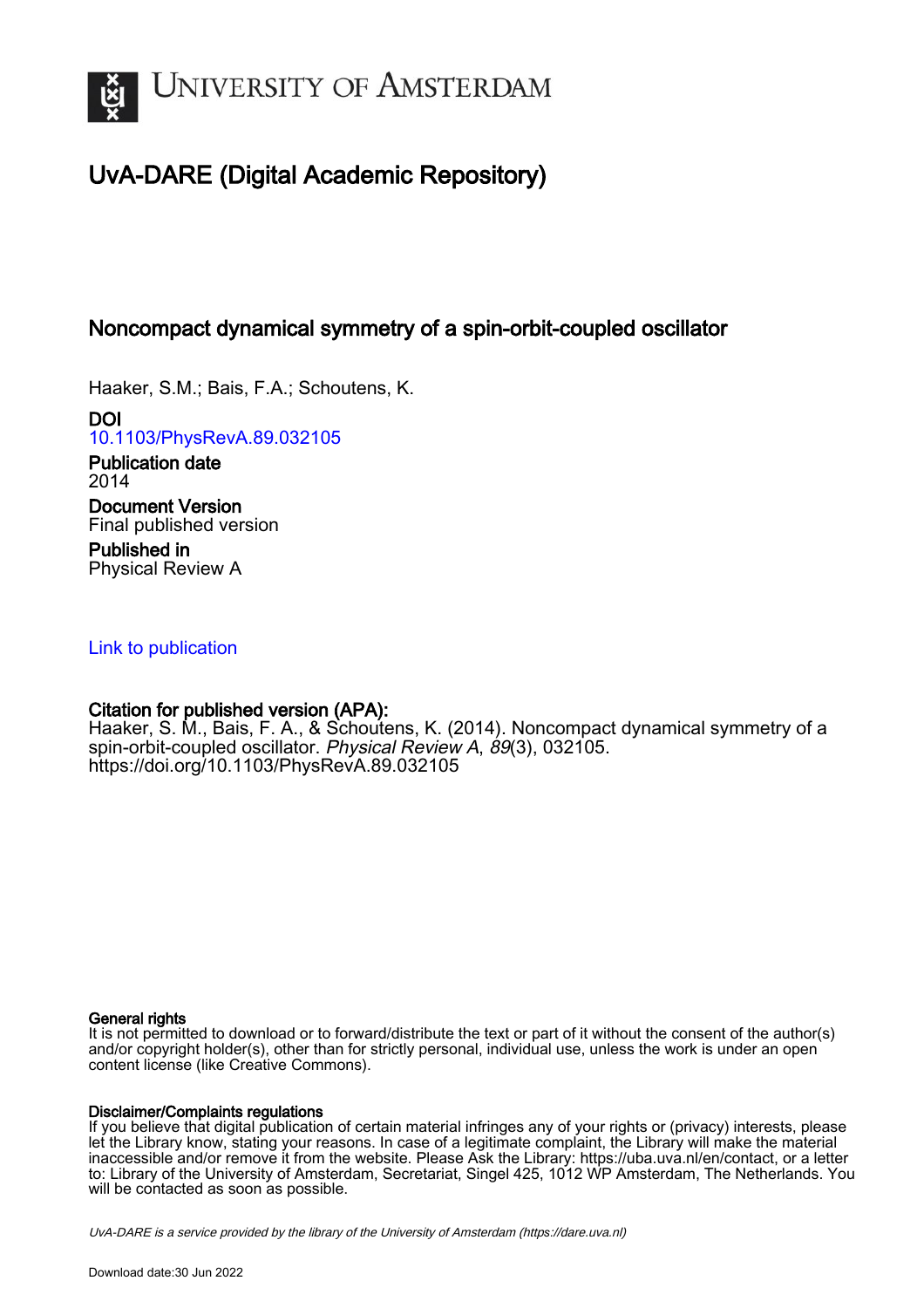

# UvA-DARE (Digital Academic Repository)

## Noncompact dynamical symmetry of a spin-orbit-coupled oscillator

Haaker, S.M.; Bais, F.A.; Schoutens, K.

DOI [10.1103/PhysRevA.89.032105](https://doi.org/10.1103/PhysRevA.89.032105)

Publication date 2014 Document Version Final published version

Published in Physical Review A

## [Link to publication](https://dare.uva.nl/personal/pure/en/publications/noncompact-dynamical-symmetry-of-a-spinorbitcoupled-oscillator(a97d5af4-55f6-4364-910a-d1329798181d).html)

## Citation for published version (APA):

Haaker, S. M., Bais, F. A., & Schoutens, K. (2014). Noncompact dynamical symmetry of a spin-orbit-coupled oscillator. Physical Review A, 89(3), 032105. <https://doi.org/10.1103/PhysRevA.89.032105>

## General rights

It is not permitted to download or to forward/distribute the text or part of it without the consent of the author(s) and/or copyright holder(s), other than for strictly personal, individual use, unless the work is under an open content license (like Creative Commons).

## Disclaimer/Complaints regulations

If you believe that digital publication of certain material infringes any of your rights or (privacy) interests, please let the Library know, stating your reasons. In case of a legitimate complaint, the Library will make the material inaccessible and/or remove it from the website. Please Ask the Library: https://uba.uva.nl/en/contact, or a letter to: Library of the University of Amsterdam, Secretariat, Singel 425, 1012 WP Amsterdam, The Netherlands. You will be contacted as soon as possible.

UvA-DARE is a service provided by the library of the University of Amsterdam (http*s*://dare.uva.nl)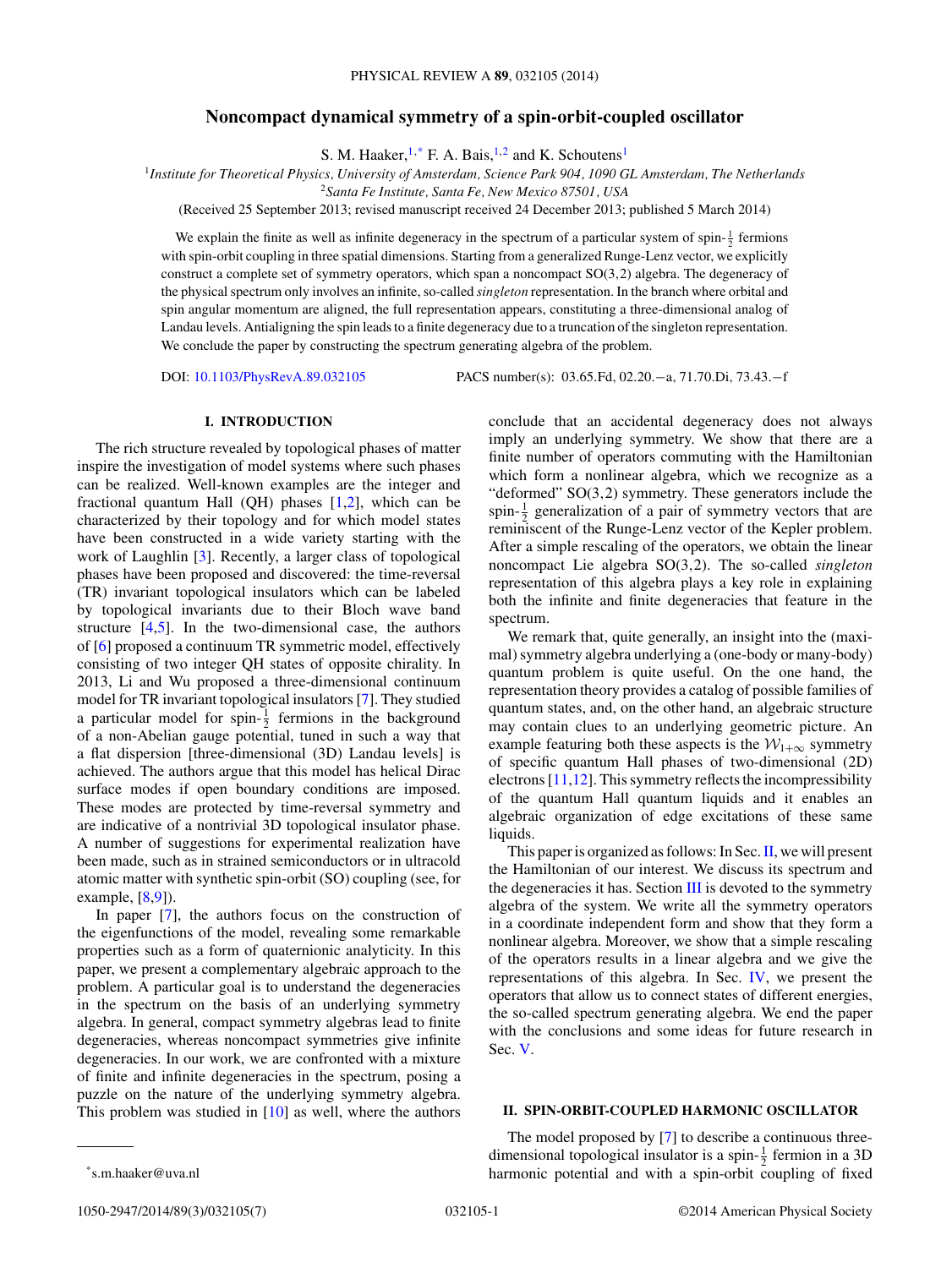#### **Noncompact dynamical symmetry of a spin-orbit-coupled oscillator**

S. M. Haaker,  $1, *$  F. A. Bais,  $1, 2$  and K. Schoutens<sup>1</sup>

<sup>1</sup>*Institute for Theoretical Physics, University of Amsterdam, Science Park 904, 1090 GL Amsterdam, The Netherlands*

<sup>2</sup>*Santa Fe Institute, Santa Fe, New Mexico 87501, USA*

(Received 25 September 2013; revised manuscript received 24 December 2013; published 5 March 2014)

We explain the finite as well as infinite degeneracy in the spectrum of a particular system of spin- $\frac{1}{2}$  fermions with spin-orbit coupling in three spatial dimensions. Starting from a generalized Runge-Lenz vector, we explicitly construct a complete set of symmetry operators, which span a noncompact SO(3*,*2) algebra. The degeneracy of the physical spectrum only involves an infinite, so-called *singleton* representation. In the branch where orbital and spin angular momentum are aligned, the full representation appears, constituting a three-dimensional analog of Landau levels. Antialigning the spin leads to a finite degeneracy due to a truncation of the singleton representation. We conclude the paper by constructing the spectrum generating algebra of the problem.

DOI: [10.1103/PhysRevA.89.032105](http://dx.doi.org/10.1103/PhysRevA.89.032105) PACS number(s): 03*.*65*.*Fd*,* 02*.*20*.*−a*,* 71*.*70*.*Di*,* 73*.*43*.*−f

#### **I. INTRODUCTION**

The rich structure revealed by topological phases of matter inspire the investigation of model systems where such phases can be realized. Well-known examples are the integer and fractional quantum Hall (OH) phases  $[1,2]$ , which can be characterized by their topology and for which model states have been constructed in a wide variety starting with the work of Laughlin [\[3\]](#page-6-0). Recently, a larger class of topological phases have been proposed and discovered: the time-reversal (TR) invariant topological insulators which can be labeled by topological invariants due to their Bloch wave band structure  $[4,5]$ . In the two-dimensional case, the authors of [\[6\]](#page-6-0) proposed a continuum TR symmetric model, effectively consisting of two integer QH states of opposite chirality. In 2013, Li and Wu proposed a three-dimensional continuum model for TR invariant topological insulators [\[7\]](#page-6-0). They studied a particular model for spin- $\frac{1}{2}$  fermions in the background of a non-Abelian gauge potential, tuned in such a way that a flat dispersion [three-dimensional (3D) Landau levels] is achieved. The authors argue that this model has helical Dirac surface modes if open boundary conditions are imposed. These modes are protected by time-reversal symmetry and are indicative of a nontrivial 3D topological insulator phase. A number of suggestions for experimental realization have been made, such as in strained semiconductors or in ultracold atomic matter with synthetic spin-orbit (SO) coupling (see, for example,  $[8,9]$ ).

In paper [\[7\]](#page-6-0), the authors focus on the construction of the eigenfunctions of the model, revealing some remarkable properties such as a form of quaternionic analyticity. In this paper, we present a complementary algebraic approach to the problem. A particular goal is to understand the degeneracies in the spectrum on the basis of an underlying symmetry algebra. In general, compact symmetry algebras lead to finite degeneracies, whereas noncompact symmetries give infinite degeneracies. In our work, we are confronted with a mixture of finite and infinite degeneracies in the spectrum, posing a puzzle on the nature of the underlying symmetry algebra. This problem was studied in [\[10\]](#page-6-0) as well, where the authors conclude that an accidental degeneracy does not always imply an underlying symmetry. We show that there are a finite number of operators commuting with the Hamiltonian which form a nonlinear algebra, which we recognize as a "deformed" SO(3*,*2) symmetry. These generators include the spin- $\frac{1}{2}$  generalization of a pair of symmetry vectors that are reminiscent of the Runge-Lenz vector of the Kepler problem. After a simple rescaling of the operators, we obtain the linear noncompact Lie algebra SO(3*,*2). The so-called *singleton* representation of this algebra plays a key role in explaining both the infinite and finite degeneracies that feature in the spectrum.

We remark that, quite generally, an insight into the (maximal) symmetry algebra underlying a (one-body or many-body) quantum problem is quite useful. On the one hand, the representation theory provides a catalog of possible families of quantum states, and, on the other hand, an algebraic structure may contain clues to an underlying geometric picture. An example featuring both these aspects is the  $W_{1+\infty}$  symmetry of specific quantum Hall phases of two-dimensional (2D) electrons [\[11,12\]](#page-6-0). This symmetry reflects the incompressibility of the quantum Hall quantum liquids and it enables an algebraic organization of edge excitations of these same liquids.

This paper is organized as follows: In Sec.II, we will present the Hamiltonian of our interest. We discuss its spectrum and the degeneracies it has. Section [III](#page-3-0) is devoted to the symmetry algebra of the system. We write all the symmetry operators in a coordinate independent form and show that they form a nonlinear algebra. Moreover, we show that a simple rescaling of the operators results in a linear algebra and we give the representations of this algebra. In Sec. [IV,](#page-5-0) we present the operators that allow us to connect states of different energies, the so-called spectrum generating algebra. We end the paper with the conclusions and some ideas for future research in Sec. [V.](#page-6-0)

#### **II. SPIN-ORBIT-COUPLED HARMONIC OSCILLATOR**

The model proposed by [\[7\]](#page-6-0) to describe a continuous threedimensional topological insulator is a spin- $\frac{1}{2}$  fermion in a 3D harmonic potential and with a spin-orbit coupling of fixed

<sup>\*</sup>s.m.haaker@uva.nl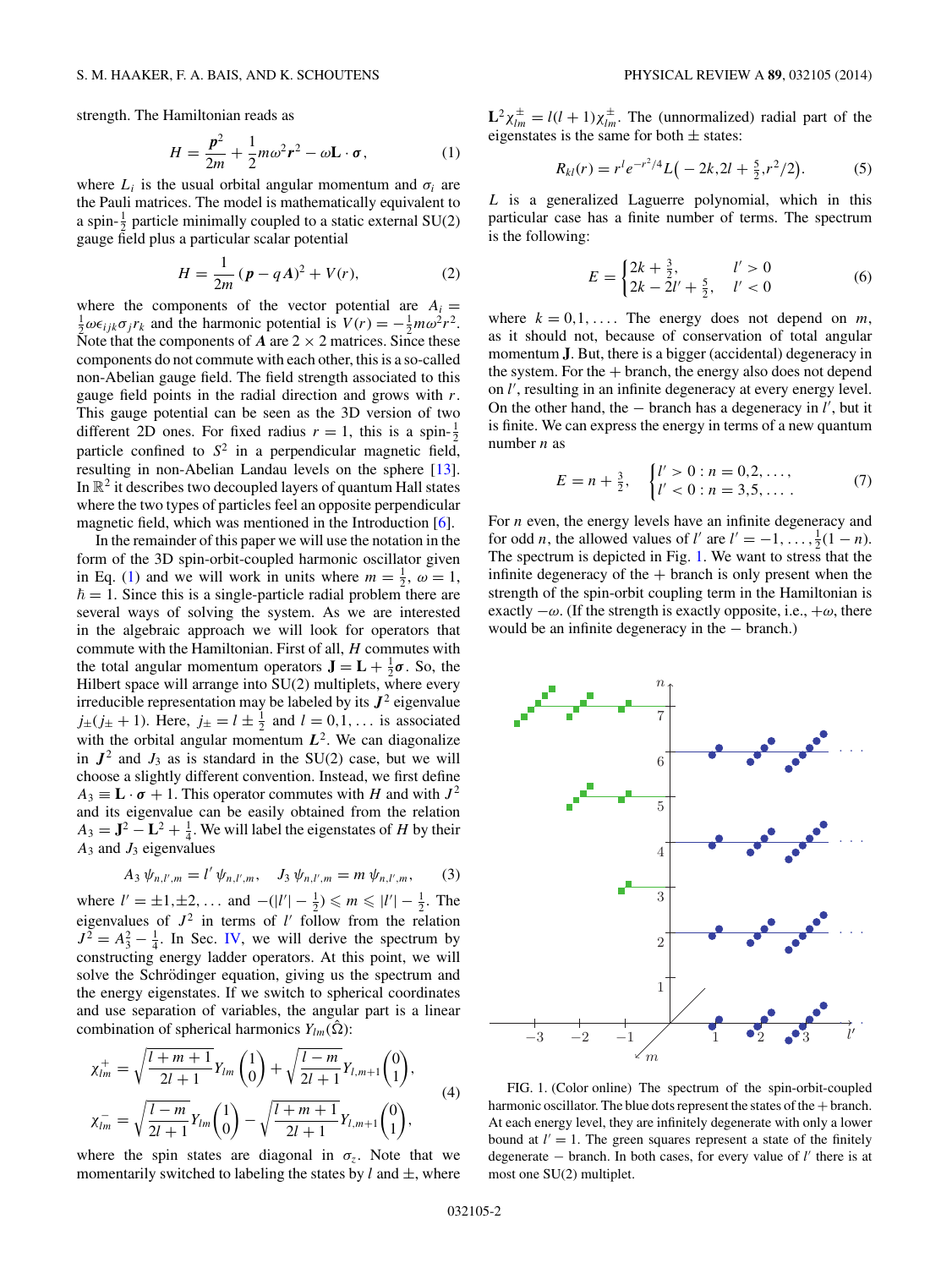<span id="page-2-0"></span>strength. The Hamiltonian reads as

$$
H = \frac{p^2}{2m} + \frac{1}{2}m\omega^2 r^2 - \omega \mathbf{L} \cdot \boldsymbol{\sigma},\tag{1}
$$

where  $L_i$  is the usual orbital angular momentum and  $\sigma_i$  are the Pauli matrices. The model is mathematically equivalent to a spin- $\frac{1}{2}$  particle minimally coupled to a static external SU(2) gauge field plus a particular scalar potential

$$
H = \frac{1}{2m} (p - qA)^2 + V(r),
$$
 (2)

where the components of the vector potential are  $A_i =$  $\frac{1}{2}\omega\epsilon_{ijk}\sigma_jr_k$  and the harmonic potential is  $V(r) = -\frac{1}{2}m\omega^2r^2$ . Note that the components of  $A$  are  $2 \times 2$  matrices. Since these components do not commute with each other, this is a so-called non-Abelian gauge field. The field strength associated to this gauge field points in the radial direction and grows with *r*. This gauge potential can be seen as the 3D version of two different 2D ones. For fixed radius  $r = 1$ , this is a spin- $\frac{1}{2}$ particle confined to *S*<sup>2</sup> in a perpendicular magnetic field, resulting in non-Abelian Landau levels on the sphere [\[13\]](#page-6-0). In  $\mathbb{R}^2$  it describes two decoupled layers of quantum Hall states where the two types of particles feel an opposite perpendicular magnetic field, which was mentioned in the Introduction [\[6\]](#page-6-0).

In the remainder of this paper we will use the notation in the form of the 3D spin-orbit-coupled harmonic oscillator given in Eq. (1) and we will work in units where  $m = \frac{1}{2}$ ,  $\omega = 1$ ,  $\hbar = 1$ . Since this is a single-particle radial problem there are several ways of solving the system. As we are interested in the algebraic approach we will look for operators that commute with the Hamiltonian. First of all, *H* commutes with the total angular momentum operators  $\mathbf{J} = \mathbf{L} + \frac{1}{2}\boldsymbol{\sigma}$ . So, the Hilbert space will arrange into SU(2) multiplets, where every irreducible representation may be labeled by its  $J^2$  eigenvalue  $j_{\pm}(j_{\pm} + 1)$ . Here,  $j_{\pm} = l \pm \frac{1}{2}$  and  $l = 0, 1, \ldots$  is associated with the orbital angular momentum  $L^2$ . We can diagonalize in  $J^2$  and  $J_3$  as is standard in the SU(2) case, but we will choose a slightly different convention. Instead, we first define  $A_3 \equiv L \cdot \sigma + 1$ . This operator commutes with *H* and with  $J^2$ and its eigenvalue can be easily obtained from the relation  $A_3 = \mathbf{J}^2 - \mathbf{L}^2 + \frac{1}{4}$ . We will label the eigenstates of *H* by their  $A_3$  and  $J_3$  eigenvalues

$$
A_3 \psi_{n,l',m} = l' \psi_{n,l',m}, \quad J_3 \psi_{n,l',m} = m \psi_{n,l',m}, \quad (3)
$$

where  $l' = \pm 1, \pm 2, ...$  and  $-(|l'| - \frac{1}{2}) \le m \le |l'| - \frac{1}{2}$ . The eigenvalues of  $J^2$  in terms of  $l'$  follow from the relation  $J^2 = A_3^2 - \frac{1}{4}$ . In Sec. [IV,](#page-5-0) we will derive the spectrum by constructing energy ladder operators. At this point, we will solve the Schrödinger equation, giving us the spectrum and the energy eigenstates. If we switch to spherical coordinates and use separation of variables, the angular part is a linear combination of spherical harmonics  $Y_{lm}(\Omega)$ :

$$
\chi_{lm}^{+} = \sqrt{\frac{l+m+1}{2l+1}} Y_{lm} {1 \choose 0} + \sqrt{\frac{l-m}{2l+1}} Y_{l,m+1} {0 \choose 1},
$$
  

$$
\chi_{lm}^{-} = \sqrt{\frac{l-m}{2l+1}} Y_{lm} {1 \choose 0} - \sqrt{\frac{l+m+1}{2l+1}} Y_{l,m+1} {0 \choose 1},
$$

$$
(4)
$$

where the spin states are diagonal in  $\sigma_z$ . Note that we momentarily switched to labeling the states by  $l$  and  $\pm$ , where  $L^2 \chi_{lm}^{\pm} = l(l+1) \chi_{lm}^{\pm}$ . The (unnormalized) radial part of the eigenstates is the same for both  $\pm$  states:

$$
R_{kl}(r) = r^l e^{-r^2/4} L\big(-2k, 2l + \frac{5}{2}, r^2/2\big). \tag{5}
$$

*L* is a generalized Laguerre polynomial, which in this particular case has a finite number of terms. The spectrum is the following:

$$
E = \begin{cases} 2k + \frac{3}{2}, & l' > 0\\ 2k - 2l' + \frac{5}{2}, & l' < 0 \end{cases}
$$
 (6)

where  $k = 0, 1, \ldots$  The energy does not depend on  $m$ , as it should not, because of conservation of total angular momentum **J**. But, there is a bigger (accidental) degeneracy in the system. For the  $+$  branch, the energy also does not depend on *l'*, resulting in an infinite degeneracy at every energy level. On the other hand, the − branch has a degeneracy in *l* , but it is finite. We can express the energy in terms of a new quantum number *n* as

$$
E = n + \frac{3}{2}, \quad \begin{cases} l' > 0 : n = 0, 2, \dots, \\ l' < 0 : n = 3, 5, \dots. \end{cases} \tag{7}
$$

For *n* even, the energy levels have an infinite degeneracy and for odd *n*, the allowed values of *l'* are  $l' = -1, \ldots, \frac{1}{2}(1 - n)$ . The spectrum is depicted in Fig. 1. We want to stress that the infinite degeneracy of the  $+$  branch is only present when the strength of the spin-orbit coupling term in the Hamiltonian is exactly  $-\omega$ . (If the strength is exactly opposite, i.e.,  $+\omega$ , there would be an infinite degeneracy in the − branch.)



FIG. 1. (Color online) The spectrum of the spin-orbit-coupled harmonic oscillator. The blue dots represent the states of the  $+$  branch. At each energy level, they are infinitely degenerate with only a lower bound at  $l' = 1$ . The green squares represent a state of the finitely degenerate − branch. In both cases, for every value of *l* there is at most one SU(2) multiplet.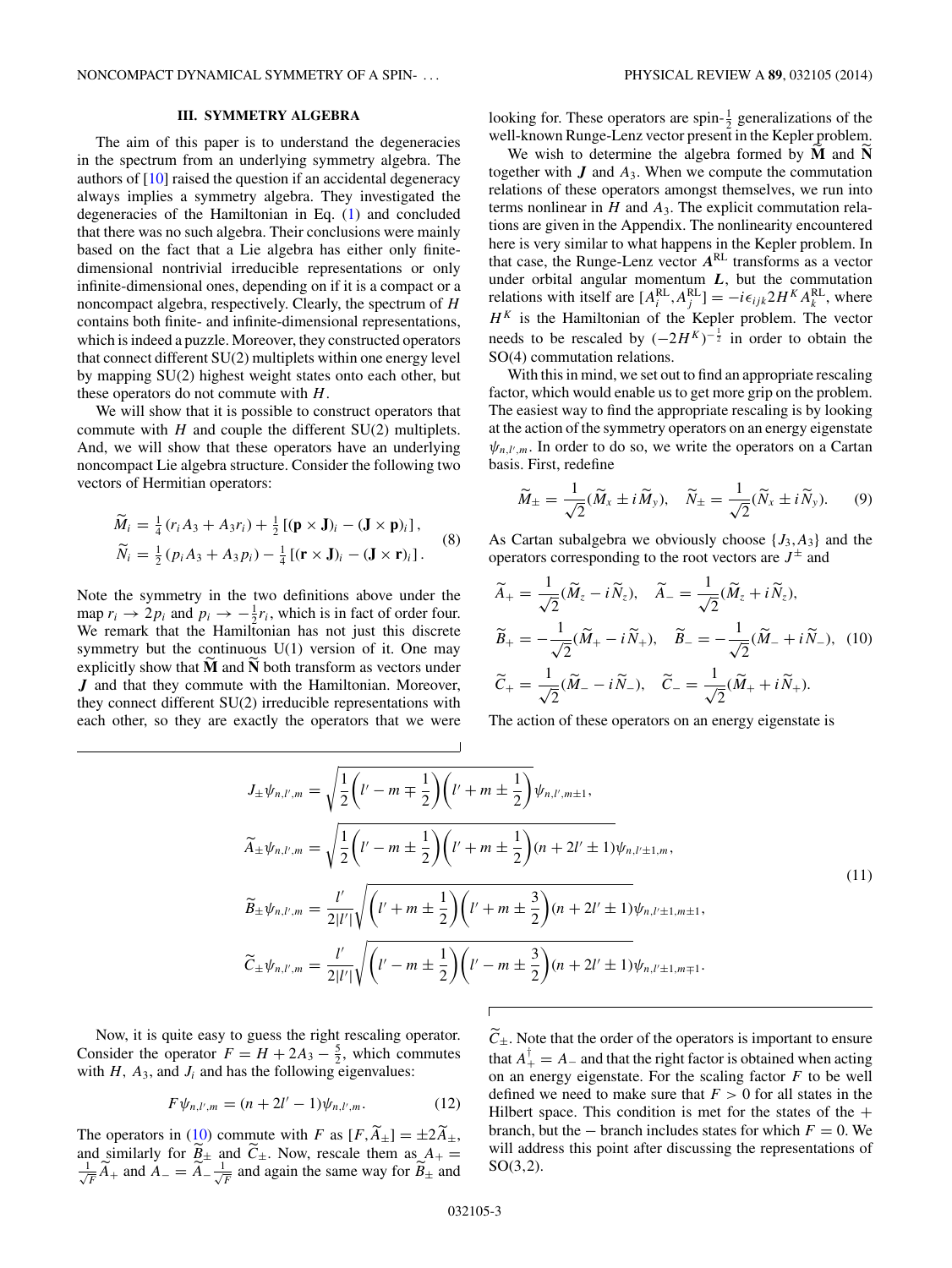#### **III. SYMMETRY ALGEBRA**

<span id="page-3-0"></span>The aim of this paper is to understand the degeneracies in the spectrum from an underlying symmetry algebra. The authors of [\[10\]](#page-6-0) raised the question if an accidental degeneracy always implies a symmetry algebra. They investigated the degeneracies of the Hamiltonian in Eq. [\(1\)](#page-2-0) and concluded that there was no such algebra. Their conclusions were mainly based on the fact that a Lie algebra has either only finitedimensional nontrivial irreducible representations or only infinite-dimensional ones, depending on if it is a compact or a noncompact algebra, respectively. Clearly, the spectrum of *H* contains both finite- and infinite-dimensional representations, which is indeed a puzzle. Moreover, they constructed operators that connect different SU(2) multiplets within one energy level by mapping SU(2) highest weight states onto each other, but these operators do not commute with *H*.

We will show that it is possible to construct operators that commute with *H* and couple the different SU(2) multiplets. And, we will show that these operators have an underlying noncompact Lie algebra structure. Consider the following two vectors of Hermitian operators:

$$
\widetilde{M}_i = \frac{1}{4} (r_i A_3 + A_3 r_i) + \frac{1}{2} [(\mathbf{p} \times \mathbf{J})_i - (\mathbf{J} \times \mathbf{p})_i],
$$
  
\n
$$
\widetilde{N}_i = \frac{1}{2} (p_i A_3 + A_3 p_i) - \frac{1}{4} [(\mathbf{r} \times \mathbf{J})_i - (\mathbf{J} \times \mathbf{r})_i].
$$
\n(8)

Note the symmetry in the two definitions above under the map  $r_i \rightarrow 2p_i$  and  $p_i \rightarrow -\frac{1}{2}r_i$ , which is in fact of order four. We remark that the Hamiltonian has not just this discrete symmetry but the continuous  $U(1)$  version of it. One may explicitly show that **M** and **N** both transform as vectors under *J* and that they commute with the Hamiltonian. Moreover, they connect different SU(2) irreducible representations with each other, so they are exactly the operators that we were

looking for. These operators are spin- $\frac{1}{2}$  generalizations of the well-known Runge-Lenz vector present in the Kepler problem.

We wish to determine the algebra formed by **M** and **N** together with  $J$  and  $A_3$ . When we compute the commutation relations of these operators amongst themselves, we run into terms nonlinear in *H* and *A*3. The explicit commutation relations are given in the Appendix. The nonlinearity encountered here is very similar to what happens in the Kepler problem. In that case, the Runge-Lenz vector *A*RL transforms as a vector under orbital angular momentum *L*, but the commutation relations with itself are  $[A_i^{RL}, A_j^{RL}] = -i\epsilon_{ijk}2H^K A_k^{RL}$ , where  $H<sup>K</sup>$  is the Hamiltonian of the Kepler problem. The vector needs to be rescaled by  $(-2H^{K})^{-\frac{1}{2}}$  in order to obtain the SO(4) commutation relations.

With this in mind, we set out to find an appropriate rescaling factor, which would enable us to get more grip on the problem. The easiest way to find the appropriate rescaling is by looking at the action of the symmetry operators on an energy eigenstate  $\psi_{n,l',m}$ . In order to do so, we write the operators on a Cartan basis. First, redefine

$$
\widetilde{M}_{\pm} = \frac{1}{\sqrt{2}} (\widetilde{M}_x \pm i \widetilde{M}_y), \quad \widetilde{N}_{\pm} = \frac{1}{\sqrt{2}} (\widetilde{N}_x \pm i \widetilde{N}_y). \tag{9}
$$

As Cartan subalgebra we obviously choose  $\{J_3, A_3\}$  and the operators corresponding to the root vectors are  $J^{\pm}$  and

$$
\widetilde{A}_{+} = \frac{1}{\sqrt{2}} (\widetilde{M}_{z} - i \widetilde{N}_{z}), \quad \widetilde{A}_{-} = \frac{1}{\sqrt{2}} (\widetilde{M}_{z} + i \widetilde{N}_{z}),
$$
\n
$$
\widetilde{B}_{+} = -\frac{1}{\sqrt{2}} (\widetilde{M}_{+} - i \widetilde{N}_{+}), \quad \widetilde{B}_{-} = -\frac{1}{\sqrt{2}} (\widetilde{M}_{-} + i \widetilde{N}_{-}), \quad (10)
$$
\n
$$
\widetilde{C}_{+} = \frac{1}{\sqrt{2}} (\widetilde{M}_{-} - i \widetilde{N}_{-}), \quad \widetilde{C}_{-} = \frac{1}{\sqrt{2}} (\widetilde{M}_{+} + i \widetilde{N}_{+}).
$$

The action of these operators on an energy eigenstate is

$$
J_{\pm}\psi_{n,l',m} = \sqrt{\frac{1}{2}\left(l'-m\mp\frac{1}{2}\right)\left(l'+m\pm\frac{1}{2}\right)}\psi_{n,l',m\pm1},
$$
  
\n
$$
\widetilde{A}_{\pm}\psi_{n,l',m} = \sqrt{\frac{1}{2}\left(l'-m\pm\frac{1}{2}\right)\left(l'+m\pm\frac{1}{2}\right)(n+2l'\pm1)}\psi_{n,l'\pm1,m},
$$
  
\n
$$
\widetilde{B}_{\pm}\psi_{n,l',m} = \frac{l'}{2|l'|}\sqrt{\left(l'+m\pm\frac{1}{2}\right)\left(l'+m\pm\frac{3}{2}\right)(n+2l'\pm1)}\psi_{n,l'\pm1,m\pm1},
$$
  
\n
$$
\widetilde{C}_{\pm}\psi_{n,l',m} = \frac{l'}{2|l'|}\sqrt{\left(l'-m\pm\frac{1}{2}\right)\left(l'-m\pm\frac{3}{2}\right)(n+2l'\pm1)}\psi_{n,l'\pm1,m\mp1}.
$$
\n(11)

Now, it is quite easy to guess the right rescaling operator. Consider the operator  $F = H + 2A_3 - \frac{5}{2}$ , which commutes with  $H$ ,  $A_3$ , and  $J_i$  and has the following eigenvalues:

$$
F\psi_{n,l',m} = (n+2l'-1)\psi_{n,l',m}.
$$
 (12)

The operators in (10) commute with *F* as  $[F, A_{\pm}] = \pm 2A_{\pm}$ , and similarly for  $B_{\pm}$  and  $C_{\pm}$ . Now, rescale them as  $A_{+} = \frac{1}{A_{+}} A_{+}$  and  $A_{-} = \widetilde{A}_{-} \frac{1}{A_{-}}$  and again the same way for  $\widetilde{B}_{+}$  and  $\frac{1}{\sqrt{F}}\widetilde{A}_+$  and  $\widetilde{A}_- = \widetilde{A}_-\frac{1}{\sqrt{F}}$  and again the same way for  $\widetilde{B}_\pm$  and

 $C_{\pm}$ . Note that the order of the operators is important to ensure that  $A^{\dagger}_{+} = A_{-}$  and that the right factor is obtained when acting on an energy eigenstate. For the scaling factor *F* to be well defined we need to make sure that  $F > 0$  for all states in the Hilbert space. This condition is met for the states of the  $+$ branch, but the  $-$  branch includes states for which  $F = 0$ . We will address this point after discussing the representations of SO(3*,*2).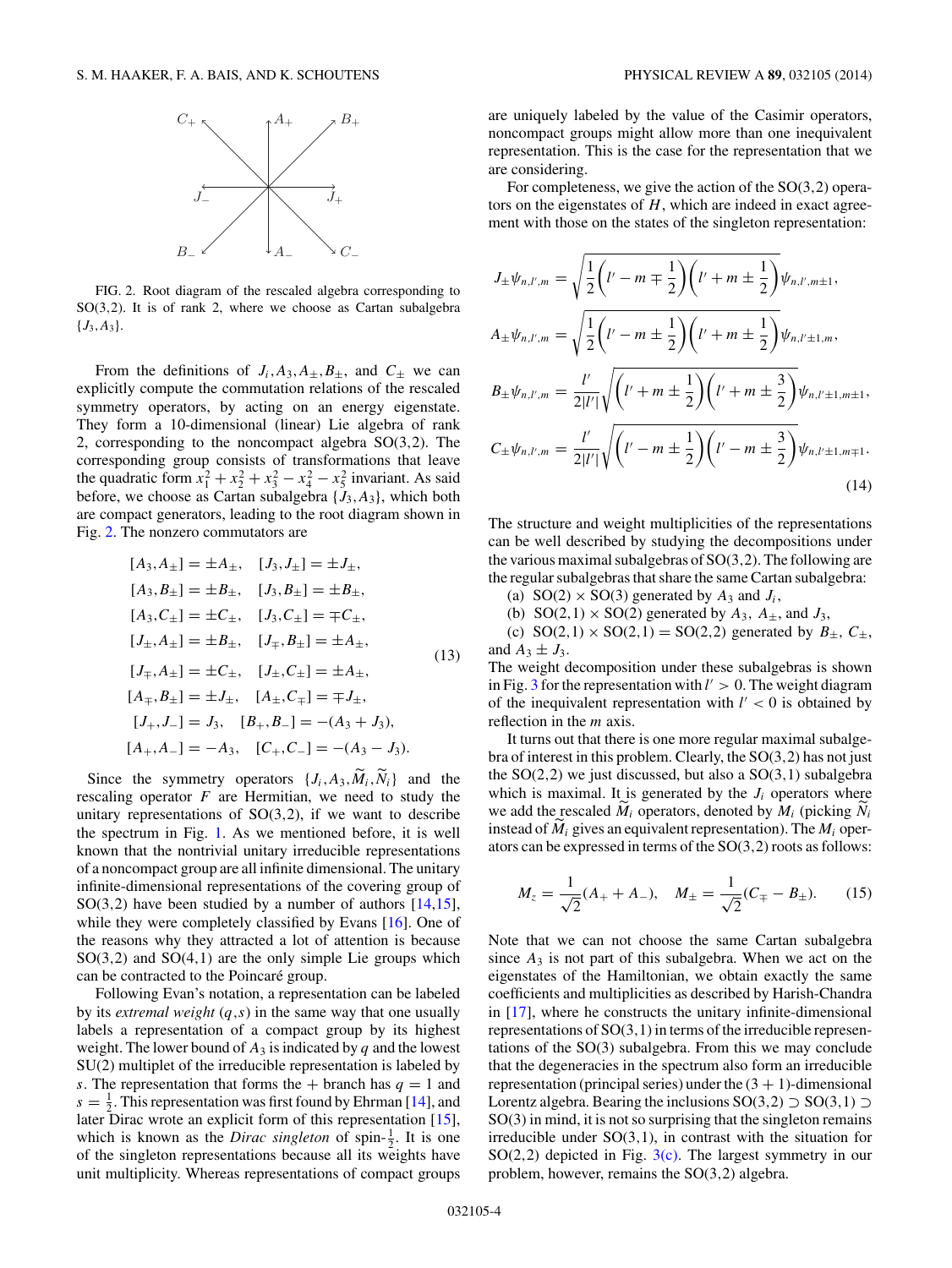

FIG. 2. Root diagram of the rescaled algebra corresponding to SO(3*,*2). It is of rank 2, where we choose as Cartan subalgebra  ${J_3, A_3}.$ 

From the definitions of  $J_i$ ,  $A_3$ ,  $A_{\pm}$ ,  $B_{\pm}$ , and  $C_{\pm}$  we can explicitly compute the commutation relations of the rescaled symmetry operators, by acting on an energy eigenstate. They form a 10-dimensional (linear) Lie algebra of rank 2, corresponding to the noncompact algebra SO(3*,*2). The corresponding group consists of transformations that leave the quadratic form  $x_1^2 + x_2^2 + x_3^2 - x_4^2 - x_5^2$  invariant. As said before, we choose as Cartan subalgebra  $\{J_3, A_3\}$ , which both are compact generators, leading to the root diagram shown in Fig. 2. The nonzero commutators are

$$
[A_3, A_{\pm}] = \pm A_{\pm}, \quad [J_3, J_{\pm}] = \pm J_{\pm},
$$
  
\n
$$
[A_3, B_{\pm}] = \pm B_{\pm}, \quad [J_3, B_{\pm}] = \pm B_{\pm},
$$
  
\n
$$
[A_3, C_{\pm}] = \pm C_{\pm}, \quad [J_3, C_{\pm}] = \mp C_{\pm},
$$
  
\n
$$
[J_{\pm}, A_{\pm}] = \pm B_{\pm}, \quad [J_{\mp}, B_{\pm}] = \pm A_{\pm},
$$
  
\n
$$
[J_{\mp}, A_{\pm}] = \pm C_{\pm}, \quad [J_{\pm}, C_{\pm}] = \pm A_{\pm},
$$
  
\n
$$
[A_{\mp}, B_{\pm}] = \pm J_{\pm}, \quad [A_{\pm}, C_{\mp}] = \mp J_{\pm},
$$
  
\n
$$
[J_{+}, J_{-}] = J_3, \quad [B_{+}, B_{-}] = -(A_3 + J_3),
$$
  
\n
$$
[A_{+}, A_{-}] = -A_3, \quad [C_{+}, C_{-}] = -(A_3 - J_3).
$$

Since the symmetry operators  $\{J_i, A_3, \widetilde{M}_i, \widetilde{N}_i\}$  and the rescaling operator *F* are Hermitian, we need to study the unitary representations of SO(3*,*2), if we want to describe the spectrum in Fig. [1.](#page-2-0) As we mentioned before, it is well known that the nontrivial unitary irreducible representations of a noncompact group are all infinite dimensional. The unitary infinite-dimensional representations of the covering group of SO(3*,*2) have been studied by a number of authors [\[14,15\]](#page-7-0), while they were completely classified by Evans [\[16\]](#page-7-0). One of the reasons why they attracted a lot of attention is because SO(3*,*2) and SO(4*,*1) are the only simple Lie groups which can be contracted to the Poincaré group.

Following Evan's notation, a representation can be labeled by its *extremal weight* (*q,s*) in the same way that one usually labels a representation of a compact group by its highest weight. The lower bound of  $A_3$  is indicated by  $q$  and the lowest SU(2) multiplet of the irreducible representation is labeled by *s*. The representation that forms the  $+$  branch has  $q = 1$  and  $s = \frac{1}{2}$ . This representation was first found by Ehrman [\[14\]](#page-7-0), and later Dirac wrote an explicit form of this representation [\[15\]](#page-7-0), which is known as the *Dirac singleton* of spin- $\frac{1}{2}$ . It is one of the singleton representations because all its weights have unit multiplicity. Whereas representations of compact groups

are uniquely labeled by the value of the Casimir operators, noncompact groups might allow more than one inequivalent representation. This is the case for the representation that we are considering.

For completeness, we give the action of the SO(3*,*2) operators on the eigenstates of *H*, which are indeed in exact agreement with those on the states of the singleton representation:

$$
J_{\pm}\psi_{n,l',m} = \sqrt{\frac{1}{2}\left(l'-m\mp\frac{1}{2}\right)\left(l'+m\pm\frac{1}{2}\right)}\psi_{n,l',m\pm1},
$$
  
\n
$$
A_{\pm}\psi_{n,l',m} = \sqrt{\frac{1}{2}\left(l'-m\pm\frac{1}{2}\right)\left(l'+m\pm\frac{1}{2}\right)}\psi_{n,l'\pm1,m},
$$
  
\n
$$
B_{\pm}\psi_{n,l',m} = \frac{l'}{2|l'|}\sqrt{\left(l'+m\pm\frac{1}{2}\right)\left(l'+m\pm\frac{3}{2}\right)}\psi_{n,l'\pm1,m\pm1},
$$
  
\n
$$
C_{\pm}\psi_{n,l',m} = \frac{l'}{2|l'|}\sqrt{\left(l'-m\pm\frac{1}{2}\right)\left(l'-m\pm\frac{3}{2}\right)}\psi_{n,l'\pm1,m\mp1}.
$$
  
\n(14)

The structure and weight multiplicities of the representations can be well described by studying the decompositions under the various maximal subalgebras of SO(3*,*2). The following are the regular subalgebras that share the same Cartan subalgebra:

- (a)  $SO(2) \times SO(3)$  generated by  $A_3$  and  $J_i$ ,
- (b) SO(2,1)  $\times$  SO(2) generated by  $A_3$ ,  $A_{\pm}$ , and  $J_3$ ,

(c)  $SO(2,1) \times SO(2,1) = SO(2,2)$  generated by  $B_{\pm}$ ,  $C_{\pm}$ , and  $A_3 \pm J_3$ .

The weight decomposition under these subalgebras is shown in Fig. [3](#page-5-0) for the representation with  $l' > 0$ . The weight diagram of the inequivalent representation with  $l' < 0$  is obtained by reflection in the *m* axis.

It turns out that there is one more regular maximal subalgebra of interest in this problem. Clearly, the SO(3*,*2) has not just the SO(2*,*2) we just discussed, but also a SO(3*,*1) subalgebra which is maximal. It is generated by the  $J_i$  operators where we add the rescaled  $\dot{M}_i$  operators, denoted by  $M_i$  (picking  $N_i$ ) instead of  $M_i$  gives an equivalent representation). The  $M_i$  operators can be expressed in terms of the SO(3*,*2) roots as follows:

$$
M_z = \frac{1}{\sqrt{2}}(A_+ + A_-), \quad M_\pm = \frac{1}{\sqrt{2}}(C_\mp - B_\pm). \tag{15}
$$

Note that we can not choose the same Cartan subalgebra since  $A_3$  is not part of this subalgebra. When we act on the eigenstates of the Hamiltonian, we obtain exactly the same coefficients and multiplicities as described by Harish-Chandra in [\[17\]](#page-7-0), where he constructs the unitary infinite-dimensional representations of SO(3*,*1) in terms of the irreducible representations of the SO(3) subalgebra. From this we may conclude that the degeneracies in the spectrum also form an irreducible representation (principal series) under the  $(3 + 1)$ -dimensional Lorentz algebra. Bearing the inclusions  $SO(3,2)$  ⊃  $SO(3,1)$  ⊃ SO(3) in mind, it is not so surprising that the singleton remains irreducible under SO(3*,*1), in contrast with the situation for SO(2*,*2) depicted in Fig. [3\(c\).](#page-5-0) The largest symmetry in our problem, however, remains the SO(3*,*2) algebra.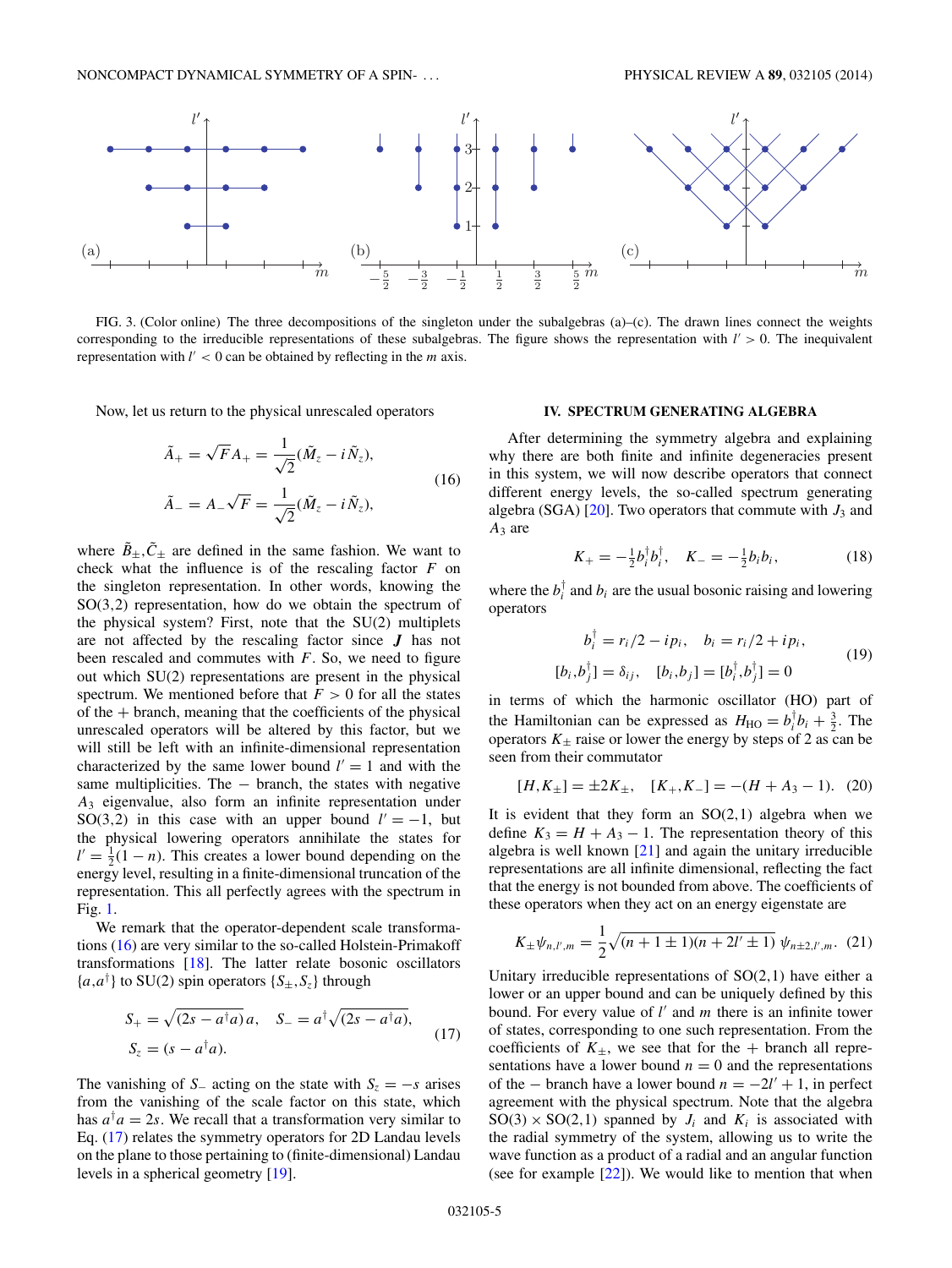<span id="page-5-0"></span>

FIG. 3. (Color online) The three decompositions of the singleton under the subalgebras (a)–(c). The drawn lines connect the weights corresponding to the irreducible representations of these subalgebras. The figure shows the representation with  $l' > 0$ . The inequivalent representation with  $l' < 0$  can be obtained by reflecting in the  $m$  axis.

Now, let us return to the physical unrescaled operators

$$
\tilde{A}_{+} = \sqrt{F}A_{+} = \frac{1}{\sqrt{2}}(\tilde{M}_{z} - i\tilde{N}_{z}),
$$
\n
$$
\tilde{A}_{-} = A_{-}\sqrt{F} = \frac{1}{\sqrt{2}}(\tilde{M}_{z} - i\tilde{N}_{z}),
$$
\n(16)

where  $\tilde{B}_{\pm}$ ,  $\tilde{C}_{\pm}$  are defined in the same fashion. We want to check what the influence is of the rescaling factor *F* on the singleton representation. In other words, knowing the SO(3*,*2) representation, how do we obtain the spectrum of the physical system? First, note that the SU(2) multiplets are not affected by the rescaling factor since *J* has not been rescaled and commutes with *F*. So, we need to figure out which SU(2) representations are present in the physical spectrum. We mentioned before that  $F > 0$  for all the states of the  $+$  branch, meaning that the coefficients of the physical unrescaled operators will be altered by this factor, but we will still be left with an infinite-dimensional representation characterized by the same lower bound  $l' = 1$  and with the same multiplicities. The − branch, the states with negative *A*<sup>3</sup> eigenvalue, also form an infinite representation under SO(3,2) in this case with an upper bound  $l' = -1$ , but the physical lowering operators annihilate the states for  $l' = \frac{1}{2}(1 - n)$ . This creates a lower bound depending on the energy level, resulting in a finite-dimensional truncation of the representation. This all perfectly agrees with the spectrum in Fig. [1.](#page-2-0)

We remark that the operator-dependent scale transformations (16) are very similar to the so-called Holstein-Primakoff transformations [\[18\]](#page-7-0). The latter relate bosonic oscillators  ${a,a^{\dagger}}$  to SU(2) spin operators  ${S_{\pm},S_z}$  through

$$
S_{+} = \sqrt{(2s - a^{\dagger}a)} a, \quad S_{-} = a^{\dagger} \sqrt{(2s - a^{\dagger}a)},
$$
  

$$
S_{z} = (s - a^{\dagger}a).
$$
 (17)

The vanishing of *S*<sub>−</sub> acting on the state with  $S_z = -s$  arises from the vanishing of the scale factor on this state, which has  $a^{\dagger}a = 2s$ . We recall that a transformation very similar to Eq. (17) relates the symmetry operators for 2D Landau levels on the plane to those pertaining to (finite-dimensional) Landau levels in a spherical geometry [\[19\]](#page-7-0).

#### **IV. SPECTRUM GENERATING ALGEBRA**

After determining the symmetry algebra and explaining why there are both finite and infinite degeneracies present in this system, we will now describe operators that connect different energy levels, the so-called spectrum generating algebra (SGA)  $[20]$ . Two operators that commute with  $J_3$  and *A*<sup>3</sup> are

$$
K_{+} = -\frac{1}{2}b_{i}^{\dagger}b_{i}^{\dagger}, \quad K_{-} = -\frac{1}{2}b_{i}b_{i}, \tag{18}
$$

where the  $b_i^{\dagger}$  and  $b_i$  are the usual bosonic raising and lowering operators

$$
b_i^{\dagger} = r_i/2 - ip_i, \quad b_i = r_i/2 + ip_i,
$$
  
\n
$$
[b_i, b_j^{\dagger}] = \delta_{ij}, \quad [b_i, b_j] = [b_i^{\dagger}, b_j^{\dagger}] = 0
$$
\n(19)

in terms of which the harmonic oscillator (HO) part of the Hamiltonian can be expressed as  $H_{HO} = b_i^{\dagger} b_i + \frac{3}{2}$ . The operators  $K_{\pm}$  raise or lower the energy by steps of 2 as can be seen from their commutator

$$
[H, K_{\pm}] = \pm 2K_{\pm}, \quad [K_{+}, K_{-}] = -(H + A_{3} - 1). \tag{20}
$$

It is evident that they form an  $SO(2,1)$  algebra when we define  $K_3 = H + A_3 - 1$ . The representation theory of this algebra is well known [\[21\]](#page-7-0) and again the unitary irreducible representations are all infinite dimensional, reflecting the fact that the energy is not bounded from above. The coefficients of these operators when they act on an energy eigenstate are

$$
K_{\pm}\psi_{n,l',m} = \frac{1}{2}\sqrt{(n+1\pm 1)(n+2l'\pm 1)}\,\psi_{n\pm 2,l',m}.\tag{21}
$$

Unitary irreducible representations of SO(2*,*1) have either a lower or an upper bound and can be uniquely defined by this bound. For every value of *l'* and *m* there is an infinite tower of states, corresponding to one such representation. From the coefficients of  $K_{\pm}$ , we see that for the + branch all representations have a lower bound  $n = 0$  and the representations of the – branch have a lower bound  $n = -2l' + 1$ , in perfect agreement with the physical spectrum. Note that the algebra  $SO(3) \times SO(2,1)$  spanned by  $J_i$  and  $K_i$  is associated with the radial symmetry of the system, allowing us to write the wave function as a product of a radial and an angular function (see for example  $[22]$ ). We would like to mention that when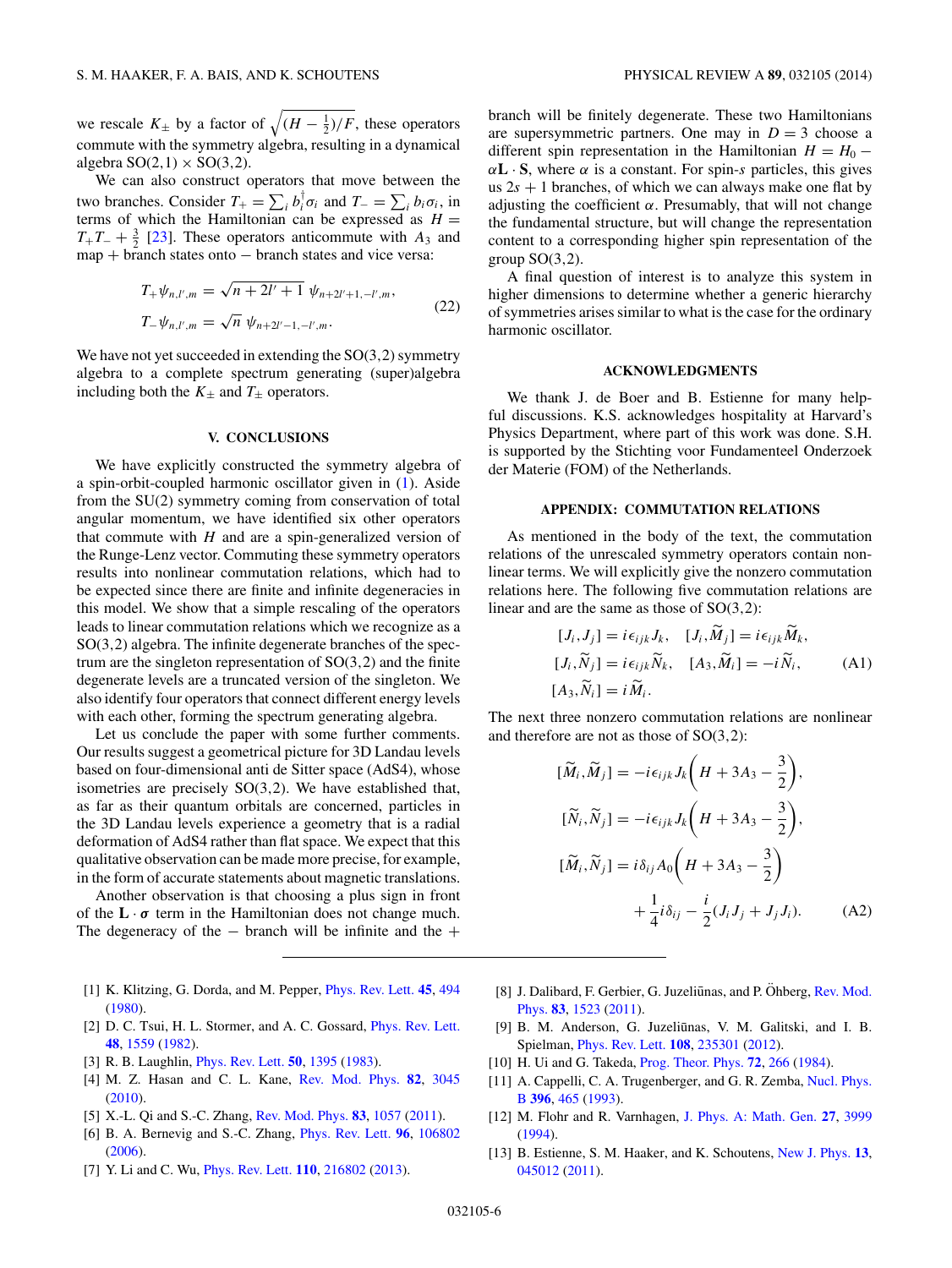<span id="page-6-0"></span>we rescale  $K_{\pm}$  by a factor of  $\sqrt{(H - \frac{1}{2})/F}$ , these operators commute with the symmetry algebra, resulting in a dynamical algebra  $SO(2,1) \times SO(3,2)$ .

We can also construct operators that move between the two branches. Consider  $T_+ = \sum_i b_i^{\dagger} \sigma_i$  and  $T_- = \sum_i b_i \sigma_i$ , in terms of which the Hamiltonian can be expressed as  $H =$  $T_+T_- + \frac{3}{2}$  [\[23\]](#page-7-0). These operators anticommute with *A*<sub>3</sub> and  $map + branch$  states onto  $-$  branch states and vice versa:

$$
T_{+}\psi_{n,l',m} = \sqrt{n+2l'+1} \ \psi_{n+2l'+1,-l',m},
$$
  
\n
$$
T_{-}\psi_{n,l',m} = \sqrt{n} \ \psi_{n+2l'-1,-l',m}.
$$
\n(22)

We have not yet succeeded in extending the SO(3*,*2) symmetry algebra to a complete spectrum generating (super)algebra including both the  $K_{\pm}$  and  $T_{\pm}$  operators.

#### **V. CONCLUSIONS**

We have explicitly constructed the symmetry algebra of a spin-orbit-coupled harmonic oscillator given in [\(1\)](#page-2-0). Aside from the SU(2) symmetry coming from conservation of total angular momentum, we have identified six other operators that commute with  $H$  and are a spin-generalized version of the Runge-Lenz vector. Commuting these symmetry operators results into nonlinear commutation relations, which had to be expected since there are finite and infinite degeneracies in this model. We show that a simple rescaling of the operators leads to linear commutation relations which we recognize as a SO(3*,*2) algebra. The infinite degenerate branches of the spectrum are the singleton representation of SO(3*,*2) and the finite degenerate levels are a truncated version of the singleton. We also identify four operators that connect different energy levels with each other, forming the spectrum generating algebra.

Let us conclude the paper with some further comments. Our results suggest a geometrical picture for 3D Landau levels based on four-dimensional anti de Sitter space (AdS4), whose isometries are precisely SO(3*,*2). We have established that, as far as their quantum orbitals are concerned, particles in the 3D Landau levels experience a geometry that is a radial deformation of AdS4 rather than flat space. We expect that this qualitative observation can be made more precise, for example, in the form of accurate statements about magnetic translations.

Another observation is that choosing a plus sign in front of the  $\mathbf{L} \cdot \boldsymbol{\sigma}$  term in the Hamiltonian does not change much. The degeneracy of the  $-$  branch will be infinite and the  $+$ 

- [1] K. Klitzing, G. Dorda, and M. Pepper, [Phys. Rev. Lett.](http://dx.doi.org/10.1103/PhysRevLett.45.494) **[45](http://dx.doi.org/10.1103/PhysRevLett.45.494)**, [494](http://dx.doi.org/10.1103/PhysRevLett.45.494) [\(1980\)](http://dx.doi.org/10.1103/PhysRevLett.45.494).
- [2] D. C. Tsui, H. L. Stormer, and A. C. Gossard, *[Phys. Rev. Lett.](http://dx.doi.org/10.1103/PhysRevLett.48.1559)* **[48](http://dx.doi.org/10.1103/PhysRevLett.48.1559)**, [1559](http://dx.doi.org/10.1103/PhysRevLett.48.1559) [\(1982\)](http://dx.doi.org/10.1103/PhysRevLett.48.1559).
- [3] R. B. Laughlin, [Phys. Rev. Lett.](http://dx.doi.org/10.1103/PhysRevLett.50.1395) **[50](http://dx.doi.org/10.1103/PhysRevLett.50.1395)**, [1395](http://dx.doi.org/10.1103/PhysRevLett.50.1395) [\(1983\)](http://dx.doi.org/10.1103/PhysRevLett.50.1395).
- [4] M. Z. Hasan and C. L. Kane, [Rev. Mod. Phys.](http://dx.doi.org/10.1103/RevModPhys.82.3045) **[82](http://dx.doi.org/10.1103/RevModPhys.82.3045)**, [3045](http://dx.doi.org/10.1103/RevModPhys.82.3045) [\(2010\)](http://dx.doi.org/10.1103/RevModPhys.82.3045).
- [5] X.-L. Qi and S.-C. Zhang, [Rev. Mod. Phys.](http://dx.doi.org/10.1103/RevModPhys.83.1057) **[83](http://dx.doi.org/10.1103/RevModPhys.83.1057)**, [1057](http://dx.doi.org/10.1103/RevModPhys.83.1057) [\(2011\)](http://dx.doi.org/10.1103/RevModPhys.83.1057).
- [6] B. A. Bernevig and S.-C. Zhang, [Phys. Rev. Lett.](http://dx.doi.org/10.1103/PhysRevLett.96.106802) **[96](http://dx.doi.org/10.1103/PhysRevLett.96.106802)**, [106802](http://dx.doi.org/10.1103/PhysRevLett.96.106802) [\(2006\)](http://dx.doi.org/10.1103/PhysRevLett.96.106802).
- [7] Y. Li and C. Wu, [Phys. Rev. Lett.](http://dx.doi.org/10.1103/PhysRevLett.110.216802) **[110](http://dx.doi.org/10.1103/PhysRevLett.110.216802)**, [216802](http://dx.doi.org/10.1103/PhysRevLett.110.216802) [\(2013\)](http://dx.doi.org/10.1103/PhysRevLett.110.216802).

branch will be finitely degenerate. These two Hamiltonians are supersymmetric partners. One may in  $D = 3$  choose a different spin representation in the Hamiltonian  $H = H_0 \alpha$ **L** · **S**, where  $\alpha$  is a constant. For spin-*s* particles, this gives us  $2s + 1$  branches, of which we can always make one flat by adjusting the coefficient  $\alpha$ . Presumably, that will not change the fundamental structure, but will change the representation content to a corresponding higher spin representation of the group SO(3*,*2).

A final question of interest is to analyze this system in higher dimensions to determine whether a generic hierarchy of symmetries arises similar to what is the case for the ordinary harmonic oscillator.

#### **ACKNOWLEDGMENTS**

We thank J. de Boer and B. Estienne for many helpful discussions. K.S. acknowledges hospitality at Harvard's Physics Department, where part of this work was done. S.H. is supported by the Stichting voor Fundamenteel Onderzoek der Materie (FOM) of the Netherlands.

#### **APPENDIX: COMMUTATION RELATIONS**

As mentioned in the body of the text, the commutation relations of the unrescaled symmetry operators contain nonlinear terms. We will explicitly give the nonzero commutation relations here. The following five commutation relations are linear and are the same as those of SO(3*,*2):

$$
[J_i, J_j] = i\epsilon_{ijk}J_k, \quad [J_i, \tilde{M}_j] = i\epsilon_{ijk}\tilde{M}_k,
$$
  
\n
$$
[J_i, \tilde{N}_j] = i\epsilon_{ijk}\tilde{N}_k, \quad [A_3, \tilde{M}_i] = -i\tilde{N}_i,
$$
  
\n
$$
[A_3, \tilde{N}_i] = i\tilde{M}_i.
$$
\n(A1)

The next three nonzero commutation relations are nonlinear and therefore are not as those of SO(3*,*2):

$$
[\widetilde{M}_i, \widetilde{M}_j] = -i\epsilon_{ijk} J_k \left( H + 3A_3 - \frac{3}{2} \right),
$$
  
\n
$$
[\widetilde{N}_i, \widetilde{N}_j] = -i\epsilon_{ijk} J_k \left( H + 3A_3 - \frac{3}{2} \right),
$$
  
\n
$$
[\widetilde{M}_i, \widetilde{N}_j] = i\delta_{ij} A_0 \left( H + 3A_3 - \frac{3}{2} \right)
$$
  
\n
$$
+ \frac{1}{4} i \delta_{ij} - \frac{i}{2} (J_i J_j + J_j J_i).
$$
 (A2)

- [8] J. Dalibard, F. Gerbier, G. Juzeliūnas, and P. Öhberg, Rev. Mod. Phys. **[83](http://dx.doi.org/10.1103/RevModPhys.83.1523)**, [1523](http://dx.doi.org/10.1103/RevModPhys.83.1523) [\(2011\)](http://dx.doi.org/10.1103/RevModPhys.83.1523).
- [9] B. M. Anderson, G. Juzeliūnas, V. M. Galitski, and I. B. Spielman, [Phys. Rev. Lett.](http://dx.doi.org/10.1103/PhysRevLett.108.235301) **[108](http://dx.doi.org/10.1103/PhysRevLett.108.235301)**, [235301](http://dx.doi.org/10.1103/PhysRevLett.108.235301) [\(2012\)](http://dx.doi.org/10.1103/PhysRevLett.108.235301).
- [10] H. Ui and G. Takeda, [Prog. Theor. Phys.](http://dx.doi.org/10.1143/PTP.72.266) **[72](http://dx.doi.org/10.1143/PTP.72.266)**, [266](http://dx.doi.org/10.1143/PTP.72.266) [\(1984\)](http://dx.doi.org/10.1143/PTP.72.266).
- [11] [A. Cappelli, C. A. Trugenberger, and G. R. Zemba,](http://dx.doi.org/10.1016/0550-3213(93)90660-H) Nucl. Phys. B **[396](http://dx.doi.org/10.1016/0550-3213(93)90660-H)**, [465](http://dx.doi.org/10.1016/0550-3213(93)90660-H) [\(1993\)](http://dx.doi.org/10.1016/0550-3213(93)90660-H).
- [12] M. Flohr and R. Varnhagen, [J. Phys. A: Math. Gen.](http://dx.doi.org/10.1088/0305-4470/27/11/045) **[27](http://dx.doi.org/10.1088/0305-4470/27/11/045)**, [3999](http://dx.doi.org/10.1088/0305-4470/27/11/045) [\(1994\)](http://dx.doi.org/10.1088/0305-4470/27/11/045).
- [13] B. Estienne, S. M. Haaker, and K. Schoutens, [New J. Phys.](http://dx.doi.org/10.1088/1367-2630/13/4/045012) **[13](http://dx.doi.org/10.1088/1367-2630/13/4/045012)**, [045012](http://dx.doi.org/10.1088/1367-2630/13/4/045012) [\(2011\)](http://dx.doi.org/10.1088/1367-2630/13/4/045012).